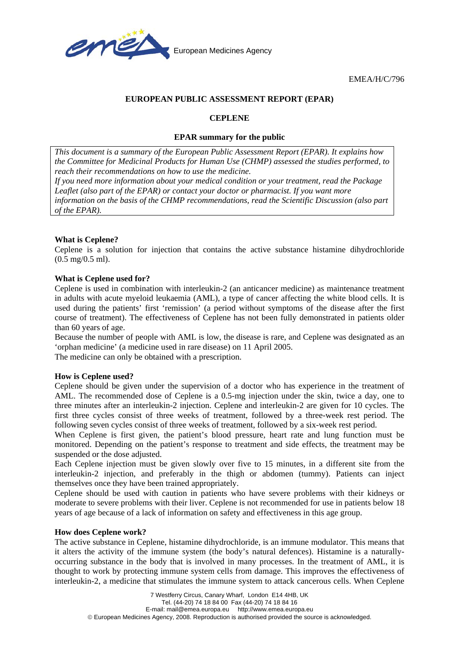

EMEA/H/C/796

## **EUROPEAN PUBLIC ASSESSMENT REPORT (EPAR)**

## **CEPLENE**

# **EPAR summary for the public**

*This document is a summary of the European Public Assessment Report (EPAR). It explains how the Committee for Medicinal Products for Human Use (CHMP) assessed the studies performed, to reach their recommendations on how to use the medicine.* 

*If you need more information about your medical condition or your treatment, read the Package Leaflet (also part of the EPAR) or contact your doctor or pharmacist. If you want more information on the basis of the CHMP recommendations, read the Scientific Discussion (also part of the EPAR).*

# **What is Ceplene?**

Ceplene is a solution for injection that contains the active substance histamine dihydrochloride (0.5 mg/0.5 ml).

# **What is Ceplene used for?**

Ceplene is used in combination with interleukin-2 (an anticancer medicine) as maintenance treatment in adults with acute myeloid leukaemia (AML), a type of cancer affecting the white blood cells. It is used during the patients' first 'remission' (a period without symptoms of the disease after the first course of treatment). The effectiveness of Ceplene has not been fully demonstrated in patients older than 60 years of age.

Because the number of people with AML is low, the disease is rare, and Ceplene was designated as an 'orphan medicine' (a medicine used in rare disease) on 11 April 2005.

The medicine can only be obtained with a prescription.

## **How is Ceplene used?**

Ceplene should be given under the supervision of a doctor who has experience in the treatment of AML. The recommended dose of Ceplene is a 0.5-mg injection under the skin, twice a day, one to three minutes after an interleukin-2 injection. Ceplene and interleukin-2 are given for 10 cycles. The first three cycles consist of three weeks of treatment, followed by a three-week rest period. The following seven cycles consist of three weeks of treatment, followed by a six-week rest period.

When Ceplene is first given, the patient's blood pressure, heart rate and lung function must be monitored. Depending on the patient's response to treatment and side effects, the treatment may be suspended or the dose adjusted.

Each Ceplene injection must be given slowly over five to 15 minutes, in a different site from the interleukin-2 injection, and preferably in the thigh or abdomen (tummy). Patients can inject themselves once they have been trained appropriately.

Ceplene should be used with caution in patients who have severe problems with their kidneys or moderate to severe problems with their liver. Ceplene is not recommended for use in patients below 18 years of age because of a lack of information on safety and effectiveness in this age group.

## **How does Ceplene work?**

The active substance in Ceplene, histamine dihydrochloride, is an immune modulator. This means that it alters the activity of the immune system (the body's natural defences). Histamine is a naturallyoccurring substance in the body that is involved in many processes. In the treatment of AML, it is thought to work by protecting immune system cells from damage. This improves the effectiveness of interleukin-2, a medicine that stimulates the immune system to attack cancerous cells. When Ceplene